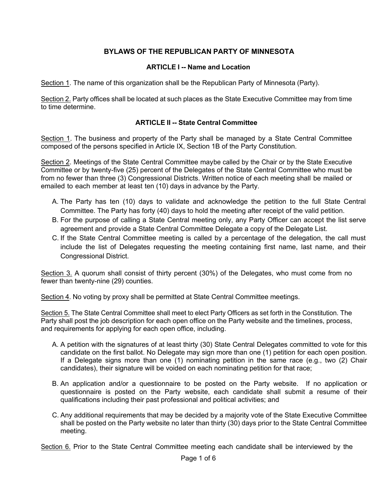# **BYLAWS OF THE REPUBLICAN PARTY OF MINNESOTA**

# **ARTICLE I -- Name and Location**

Section 1. The name of this organization shall be the Republican Party of Minnesota (Party).

Section 2. Party offices shall be located at such places as the State Executive Committee may from time to time determine.

#### **ARTICLE II -- State Central Committee**

Section 1. The business and property of the Party shall be managed by a State Central Committee composed of the persons specified in Article IX, Section 1B of the Party Constitution.

Section 2. Meetings of the State Central Committee maybe called by the Chair or by the State Executive Committee or by twenty-five (25) percent of the Delegates of the State Central Committee who must be from no fewer than three (3) Congressional Districts. Written notice of each meeting shall be mailed or emailed to each member at least ten (10) days in advance by the Party.

- A. The Party has ten (10) days to validate and acknowledge the petition to the full State Central Committee. The Party has forty (40) days to hold the meeting after receipt of the valid petition.
- B. For the purpose of calling a State Central meeting only, any Party Officer can accept the list serve agreement and provide a State Central Committee Delegate a copy of the Delegate List.
- C. If the State Central Committee meeting is called by a percentage of the delegation, the call must include the list of Delegates requesting the meeting containing first name, last name, and their Congressional District.

Section 3. A quorum shall consist of thirty percent (30%) of the Delegates, who must come from no fewer than twenty-nine (29) counties.

Section 4. No voting by proxy shall be permitted at State Central Committee meetings.

Section 5. The State Central Committee shall meet to elect Party Officers as set forth in the Constitution. The Party shall post the job description for each open office on the Party website and the timelines, process, and requirements for applying for each open office, including.

- A. A petition with the signatures of at least thirty (30) State Central Delegates committed to vote for this candidate on the first ballot. No Delegate may sign more than one (1) petition for each open position. If a Delegate signs more than one (1) nominating petition in the same race (e.g., two (2) Chair candidates), their signature will be voided on each nominating petition for that race;
- B. An application and/or a questionnaire to be posted on the Party website. If no application or questionnaire is posted on the Party website, each candidate shall submit a resume of their qualifications including their past professional and political activities; and
- C. Any additional requirements that may be decided by a majority vote of the State Executive Committee shall be posted on the Party website no later than thirty (30) days prior to the State Central Committee meeting.

Section 6. Prior to the State Central Committee meeting each candidate shall be interviewed by the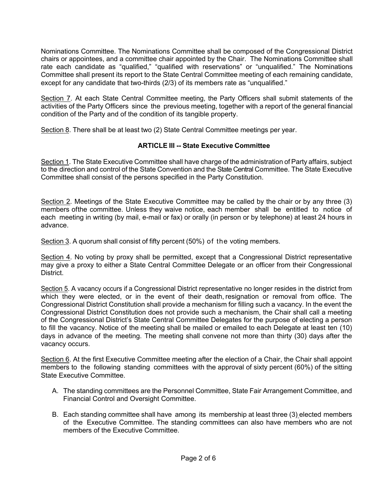Nominations Committee. The Nominations Committee shall be composed of the Congressional District chairs or appointees, and a committee chair appointed by the Chair. The Nominations Committee shall rate each candidate as "qualified," "qualified with reservations" or "unqualified." The Nominations Committee shall present its report to the State Central Committee meeting of each remaining candidate, except for any candidate that two-thirds (2/3) of its members rate as "unqualified."

Section 7. At each State Central Committee meeting, the Party Officers shall submit statements of the activities of the Party Officers since the previous meeting, together with a report of the general financial condition of the Party and of the condition of its tangible property.

Section 8. There shall be at least two (2) State Central Committee meetings per year.

## **ARTICLE III -- State Executive Committee**

Section 1. The State Executive Committee shall have charge of the administration of Party affairs, subject to the direction and control of the State Convention and the State Central Committee. The State Executive Committee shall consist of the persons specified in the Party Constitution.

Section 2. Meetings of the State Executive Committee may be called by the chair or by any three (3) members ofthe committee. Unless they waive notice, each member shall be entitled to notice of each meeting in writing (by mail, e-mail or fax) or orally (in person or by telephone) at least 24 hours in advance.

Section 3. A quorum shall consist of fifty percent (50%) of the voting members.

Section 4. No voting by proxy shall be permitted, except that a Congressional District representative may give a proxy to either a State Central Committee Delegate or an officer from their Congressional **District.** 

Section 5. A vacancy occurs if a Congressional District representative no longer resides in the district from which they were elected, or in the event of their death, resignation or removal from office. The Congressional District Constitution shall provide a mechanism for filling such a vacancy. In the event the Congressional District Constitution does not provide such a mechanism, the Chair shall call a meeting of the Congressional District's State Central Committee Delegates for the purpose of electing a person to fill the vacancy. Notice of the meeting shall be mailed or emailed to each Delegate at least ten (10) days in advance of the meeting. The meeting shall convene not more than thirty (30) days after the vacancy occurs.

Section 6. At the first Executive Committee meeting after the election of a Chair, the Chair shall appoint members to the following standing committees with the approval of sixty percent (60%) of the sitting State Executive Committee.

- A. The standing committees are the Personnel Committee, State Fair Arrangement Committee, and Financial Control and Oversight Committee.
- B. Each standing committee shall have among its membership at least three (3) elected members of the Executive Committee. The standing committees can also have members who are not members of the Executive Committee.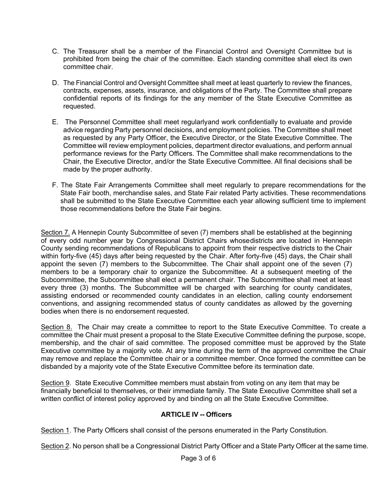- C. The Treasurer shall be a member of the Financial Control and Oversight Committee but is prohibited from being the chair of the committee. Each standing committee shall elect its own committee chair.
- D. The Financial Control and Oversight Committee shall meet at least quarterly to review the finances, contracts, expenses, assets, insurance, and obligations of the Party. The Committee shall prepare confidential reports of its findings for the any member of the State Executive Committee as requested.
- E. The Personnel Committee shall meet regularlyand work confidentially to evaluate and provide advice regarding Party personnel decisions, and employment policies. The Committee shall meet as requested by any Party Officer, the Executive Director, or the State Executive Committee. The Committee will review employment policies, department director evaluations, and perform annual performance reviews for the Party Officers. The Committee shall make recommendations to the Chair, the Executive Director, and/or the State Executive Committee. All final decisions shall be made by the proper authority.
- F. The State Fair Arrangements Committee shall meet regularly to prepare recommendations for the State Fair booth, merchandise sales, and State Fair related Party activities. These recommendations shall be submitted to the State Executive Committee each year allowing sufficient time to implement those recommendations before the State Fair begins.

Section 7. A Hennepin County Subcommittee of seven (7) members shall be established at the beginning of every odd number year by Congressional District Chairs whosedistricts are located in Hennepin County sending recommendations of Republicans to appoint from their respective districts to the Chair within forty-five (45) days after being requested by the Chair. After forty-five (45) days, the Chair shall appoint the seven (7) members to the Subcommittee. The Chair shall appoint one of the seven (7) members to be a temporary chair to organize the Subcommittee. At a subsequent meeting of the Subcommittee, the Subcommittee shall elect a permanent chair. The Subcommittee shall meet at least every three (3) months. The Subcommittee will be charged with searching for county candidates, assisting endorsed or recommended county candidates in an election, calling county endorsement conventions, and assigning recommended status of county candidates as allowed by the governing bodies when there is no endorsement requested.

Section 8. The Chair may create a committee to report to the State Executive Committee. To create a committee the Chair must present a proposal to the State Executive Committee defining the purpose, scope, membership, and the chair of said committee. The proposed committee must be approved by the State Executive committee by a majority vote. At any time during the term of the approved committee the Chair may remove and replace the Committee chair or a committee member. Once formed the committee can be disbanded by a majority vote of the State Executive Committee before its termination date.

Section 9. State Executive Committee members must abstain from voting on any item that may be financially beneficial to themselves, or their immediate family. The State Executive Committee shall set a written conflict of interest policy approved by and binding on all the State Executive Committee.

#### **ARTICLE IV -- Officers**

Section 1. The Party Officers shall consist of the persons enumerated in the Party Constitution.

Section 2. No person shall be a Congressional District Party Officer and a State Party Officer at the same time.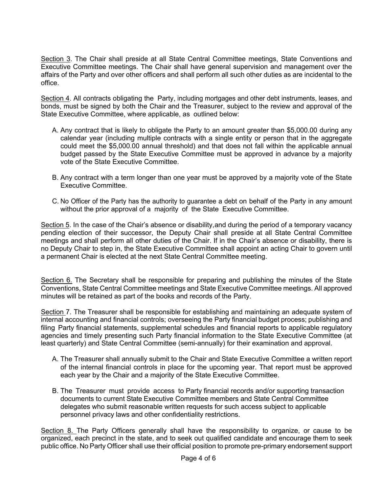Section 3. The Chair shall preside at all State Central Committee meetings, State Conventions and Executive Committee meetings. The Chair shall have general supervision and management over the affairs of the Party and over other officers and shall perform all such other duties as are incidental to the office.

Section 4. All contracts obligating the Party, including mortgages and other debt instruments, leases, and bonds, must be signed by both the Chair and the Treasurer, subject to the review and approval of the State Executive Committee, where applicable, as outlined below:

- A. Any contract that is likely to obligate the Party to an amount greater than \$5,000.00 during any calendar year (including multiple contracts with a single entity or person that in the aggregate could meet the \$5,000.00 annual threshold) and that does not fall within the applicable annual budget passed by the State Executive Committee must be approved in advance by a majority vote of the State Executive Committee.
- B. Any contract with a term longer than one year must be approved by a majority vote of the State Executive Committee.
- C. No Officer of the Party has the authority to guarantee a debt on behalf of the Party in any amount without the prior approval of a majority of the State Executive Committee.

Section 5. In the case of the Chair's absence or disability,and during the period of a temporary vacancy pending election of their successor, the Deputy Chair shall preside at all State Central Committee meetings and shall perform all other duties of the Chair. If in the Chair's absence or disability, there is no Deputy Chair to step in, the State Executive Committee shall appoint an acting Chair to govern until a permanent Chair is elected at the next State Central Committee meeting.

Section 6. The Secretary shall be responsible for preparing and publishing the minutes of the State Conventions, State Central Committee meetings and State Executive Committee meetings. All approved minutes will be retained as part of the books and records of the Party.

Section 7. The Treasurer shall be responsible for establishing and maintaining an adequate system of internal accounting and financial controls; overseeing the Party financial budget process; publishing and filing Party financial statements, supplemental schedules and financial reports to applicable regulatory agencies and timely presenting such Party financial information to the State Executive Committee (at least quarterly) and State Central Committee (semi-annually) for their examination and approval.

- A. The Treasurer shall annually submit to the Chair and State Executive Committee a written report of the internal financial controls in place for the upcoming year. That report must be approved each year by the Chair and a majority of the State Executive Committee.
- B. The Treasurer must provide access to Party financial records and/or supporting transaction documents to current State Executive Committee members and State Central Committee delegates who submit reasonable written requests for such access subject to applicable personnel privacy laws and other confidentiality restrictions.

Section 8. The Party Officers generally shall have the responsibility to organize, or cause to be organized, each precinct in the state, and to seek out qualified candidate and encourage them to seek public office. No Party Officer shall use their official position to promote pre-primary endorsement support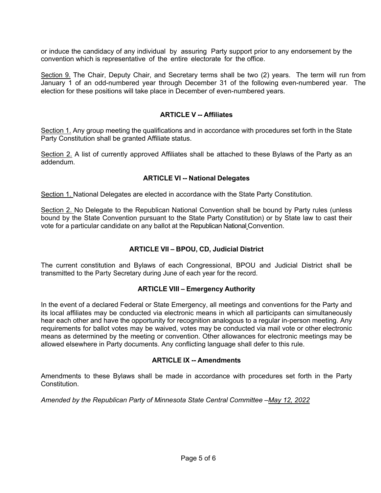or induce the candidacy of any individual by assuring Party support prior to any endorsement by the convention which is representative of the entire electorate for the office.

Section 9. The Chair, Deputy Chair, and Secretary terms shall be two (2) years. The term will run from January 1 of an odd-numbered year through December 31 of the following even-numbered year. The election for these positions will take place in December of even-numbered years.

#### **ARTICLE V -- Affiliates**

Section 1. Any group meeting the qualifications and in accordance with procedures set forth in the State Party Constitution shall be granted Affiliate status.

Section 2. A list of currently approved Affiliates shall be attached to these Bylaws of the Party as an addendum.

#### **ARTICLE VI -- National Delegates**

Section 1. National Delegates are elected in accordance with the State Party Constitution.

Section 2. No Delegate to the Republican National Convention shall be bound by Party rules (unless bound by the State Convention pursuant to the State Party Constitution) or by State law to cast their vote for a particular candidate on any ballot at the Republican National Convention.

## **ARTICLE VII – BPOU, CD, Judicial District**

The current constitution and Bylaws of each Congressional, BPOU and Judicial District shall be transmitted to the Party Secretary during June of each year for the record.

#### **ARTICLE VIII – Emergency Authority**

In the event of a declared Federal or State Emergency, all meetings and conventions for the Party and its local affiliates may be conducted via electronic means in which all participants can simultaneously hear each other and have the opportunity for recognition analogous to a regular in-person meeting. Any requirements for ballot votes may be waived, votes may be conducted via mail vote or other electronic means as determined by the meeting or convention. Other allowances for electronic meetings may be allowed elsewhere in Party documents. Any conflicting language shall defer to this rule.

#### **ARTICLE IX -- Amendments**

Amendments to these Bylaws shall be made in accordance with procedures set forth in the Party Constitution.

*Amended by the Republican Party of Minnesota State Central Committee –May 12, 2022*